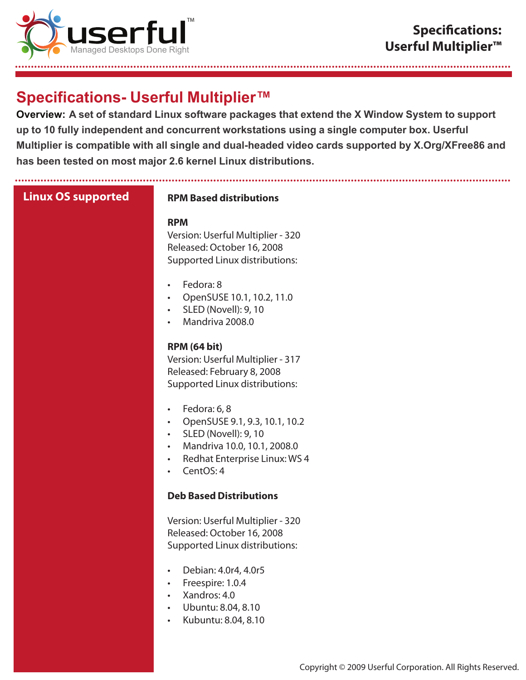

# **Specifications- Userful Multiplier™**

............. **Overview: A set of standard Linux software packages that extend the X Window System to support up to 10 fully independent and concurrent workstations using a single computer box. Userful Multiplier is compatible with all single and dual-headed video cards supported by X.Org/XFree86 and has been tested on most major 2.6 kernel Linux distributions.**

...........................................................................................................................................................

| <b>Linux OS supported</b> | <b>RPM Based distributions</b>                                                                                                                                                                                             |
|---------------------------|----------------------------------------------------------------------------------------------------------------------------------------------------------------------------------------------------------------------------|
|                           | <b>RPM</b><br>Version: Userful Multiplier - 320<br>Released: October 16, 2008<br>Supported Linux distributions:                                                                                                            |
|                           | Fedora: 8<br>$\bullet$<br>OpenSUSE 10.1, 10.2, 11.0<br>$\bullet$<br>SLED (Novell): 9, 10<br>Mandriva 2008.0                                                                                                                |
|                           | <b>RPM (64 bit)</b><br>Version: Userful Multiplier - 317<br>Released: February 8, 2008<br>Supported Linux distributions:                                                                                                   |
|                           | Fedora: 6, 8<br>$\bullet$<br>OpenSUSE 9.1, 9.3, 10.1, 10.2<br>$\bullet$<br><b>SLED (Novell): 9, 10</b><br>$\bullet$<br>Mandriva 10.0, 10.1, 2008.0<br>$\bullet$<br>Redhat Enterprise Linux: WS 4<br>$\bullet$<br>CentOS: 4 |
|                           | <b>Deb Based Distributions</b>                                                                                                                                                                                             |
|                           | Version: Userful Multiplier - 320<br>Released: October 16, 2008<br>Supported Linux distributions:                                                                                                                          |
|                           | Debian: 4.0r4, 4.0r5<br>$\bullet$<br>Freespire: 1.0.4<br>Xandros: 4.0<br>Ubuntu: 8.04, 8.10<br>Kubuntu: 8.04, 8.10                                                                                                         |
|                           |                                                                                                                                                                                                                            |